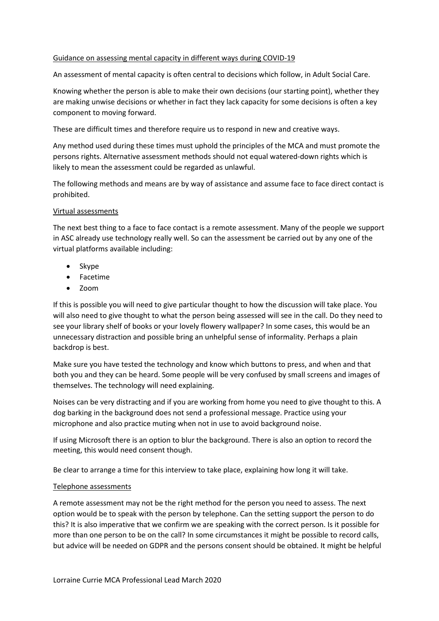### Guidance on assessing mental capacity in different ways during COVID-19

An assessment of mental capacity is often central to decisions which follow, in Adult Social Care.

Knowing whether the person is able to make their own decisions (our starting point), whether they are making unwise decisions or whether in fact they lack capacity for some decisions is often a key component to moving forward.

These are difficult times and therefore require us to respond in new and creative ways.

Any method used during these times must uphold the principles of the MCA and must promote the persons rights. Alternative assessment methods should not equal watered-down rights which is likely to mean the assessment could be regarded as unlawful.

The following methods and means are by way of assistance and assume face to face direct contact is prohibited.

### Virtual assessments

The next best thing to a face to face contact is a remote assessment. Many of the people we support in ASC already use technology really well. So can the assessment be carried out by any one of the virtual platforms available including:

- Skype
- Facetime
- Zoom

If this is possible you will need to give particular thought to how the discussion will take place. You will also need to give thought to what the person being assessed will see in the call. Do they need to see your library shelf of books or your lovely flowery wallpaper? In some cases, this would be an unnecessary distraction and possible bring an unhelpful sense of informality. Perhaps a plain backdrop is best.

Make sure you have tested the technology and know which buttons to press, and when and that both you and they can be heard. Some people will be very confused by small screens and images of themselves. The technology will need explaining.

Noises can be very distracting and if you are working from home you need to give thought to this. A dog barking in the background does not send a professional message. Practice using your microphone and also practice muting when not in use to avoid background noise.

If using Microsoft there is an option to blur the background. There is also an option to record the meeting, this would need consent though.

Be clear to arrange a time for this interview to take place, explaining how long it will take.

### Telephone assessments

A remote assessment may not be the right method for the person you need to assess. The next option would be to speak with the person by telephone. Can the setting support the person to do this? It is also imperative that we confirm we are speaking with the correct person. Is it possible for more than one person to be on the call? In some circumstances it might be possible to record calls, but advice will be needed on GDPR and the persons consent should be obtained. It might be helpful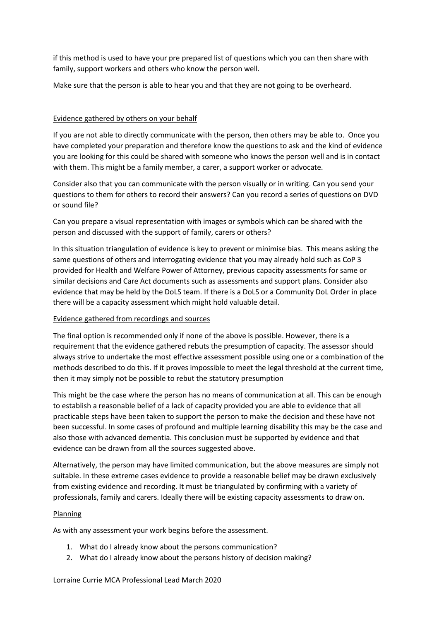if this method is used to have your pre prepared list of questions which you can then share with family, support workers and others who know the person well.

Make sure that the person is able to hear you and that they are not going to be overheard.

### Evidence gathered by others on your behalf

If you are not able to directly communicate with the person, then others may be able to. Once you have completed your preparation and therefore know the questions to ask and the kind of evidence you are looking for this could be shared with someone who knows the person well and is in contact with them. This might be a family member, a carer, a support worker or advocate.

Consider also that you can communicate with the person visually or in writing. Can you send your questions to them for others to record their answers? Can you record a series of questions on DVD or sound file?

Can you prepare a visual representation with images or symbols which can be shared with the person and discussed with the support of family, carers or others?

In this situation triangulation of evidence is key to prevent or minimise bias. This means asking the same questions of others and interrogating evidence that you may already hold such as CoP 3 provided for Health and Welfare Power of Attorney, previous capacity assessments for same or similar decisions and Care Act documents such as assessments and support plans. Consider also evidence that may be held by the DoLS team. If there is a DoLS or a Community DoL Order in place there will be a capacity assessment which might hold valuable detail.

# Evidence gathered from recordings and sources

The final option is recommended only if none of the above is possible. However, there is a requirement that the evidence gathered rebuts the presumption of capacity. The assessor should always strive to undertake the most effective assessment possible using one or a combination of the methods described to do this. If it proves impossible to meet the legal threshold at the current time, then it may simply not be possible to rebut the statutory presumption

This might be the case where the person has no means of communication at all. This can be enough to establish a reasonable belief of a lack of capacity provided you are able to evidence that all practicable steps have been taken to support the person to make the decision and these have not been successful. In some cases of profound and multiple learning disability this may be the case and also those with advanced dementia. This conclusion must be supported by evidence and that evidence can be drawn from all the sources suggested above.

Alternatively, the person may have limited communication, but the above measures are simply not suitable. In these extreme cases evidence to provide a reasonable belief may be drawn exclusively from existing evidence and recording. It must be triangulated by confirming with a variety of professionals, family and carers. Ideally there will be existing capacity assessments to draw on.

### Planning

As with any assessment your work begins before the assessment.

- 1. What do I already know about the persons communication?
- 2. What do I already know about the persons history of decision making?

### Lorraine Currie MCA Professional Lead March 2020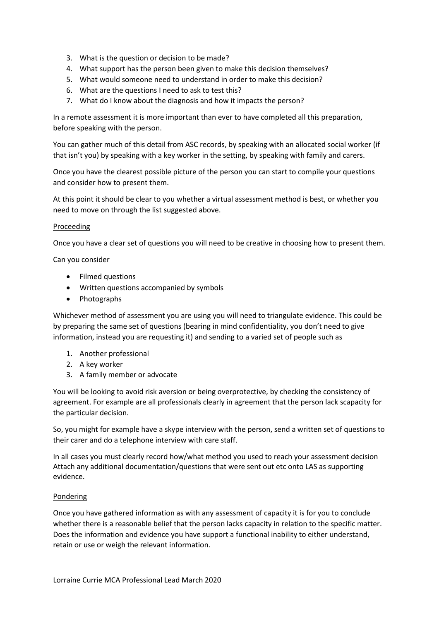- 3. What is the question or decision to be made?
- 4. What support has the person been given to make this decision themselves?
- 5. What would someone need to understand in order to make this decision?
- 6. What are the questions I need to ask to test this?
- 7. What do I know about the diagnosis and how it impacts the person?

In a remote assessment it is more important than ever to have completed all this preparation, before speaking with the person.

You can gather much of this detail from ASC records, by speaking with an allocated social worker (if that isn't you) by speaking with a key worker in the setting, by speaking with family and carers.

Once you have the clearest possible picture of the person you can start to compile your questions and consider how to present them.

At this point it should be clear to you whether a virtual assessment method is best, or whether you need to move on through the list suggested above.

### Proceeding

Once you have a clear set of questions you will need to be creative in choosing how to present them.

Can you consider

- Filmed questions
- Written questions accompanied by symbols
- Photographs

Whichever method of assessment you are using you will need to triangulate evidence. This could be by preparing the same set of questions (bearing in mind confidentiality, you don't need to give information, instead you are requesting it) and sending to a varied set of people such as

- 1. Another professional
- 2. A key worker
- 3. A family member or advocate

You will be looking to avoid risk aversion or being overprotective, by checking the consistency of agreement. For example are all professionals clearly in agreement that the person lack scapacity for the particular decision.

So, you might for example have a skype interview with the person, send a written set of questions to their carer and do a telephone interview with care staff.

In all cases you must clearly record how/what method you used to reach your assessment decision Attach any additional documentation/questions that were sent out etc onto LAS as supporting evidence.

### Pondering

Once you have gathered information as with any assessment of capacity it is for you to conclude whether there is a reasonable belief that the person lacks capacity in relation to the specific matter. Does the information and evidence you have support a functional inability to either understand, retain or use or weigh the relevant information.